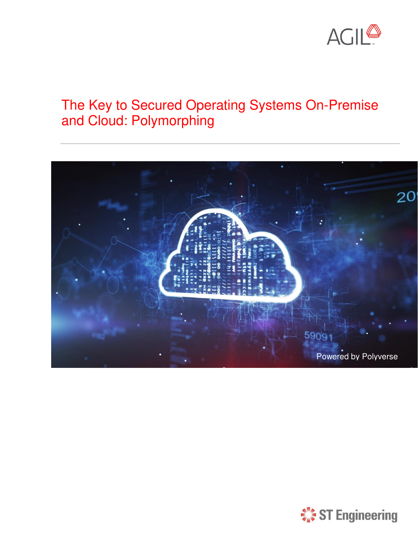

# The Key to Secured Operating Systems On-Premise and Cloud: Polymorphing



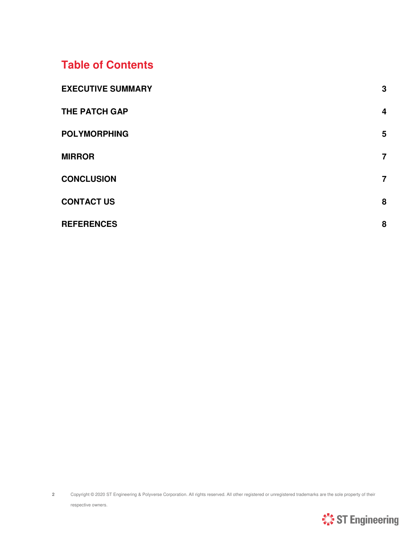#### **Table of Contents**

| <b>EXECUTIVE SUMMARY</b> | 3                |
|--------------------------|------------------|
| <b>THE PATCH GAP</b>     | $\boldsymbol{4}$ |
| <b>POLYMORPHING</b>      | 5                |
| <b>MIRROR</b>            | $\overline{7}$   |
| <b>CONCLUSION</b>        | $\overline{7}$   |
| <b>CONTACT US</b>        | 8                |
| <b>REFERENCES</b>        | 8                |

<span id="page-1-0"></span>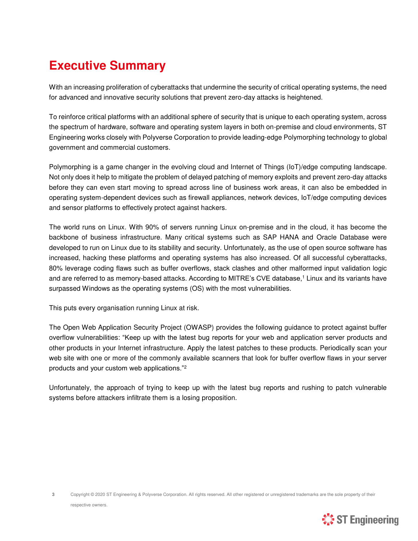## **Executive Summary**

With an increasing proliferation of cyberattacks that undermine the security of critical operating systems, the need for advanced and innovative security solutions that prevent zero-day attacks is heightened.

To reinforce critical platforms with an additional sphere of security that is unique to each operating system, across the spectrum of hardware, software and operating system layers in both on-premise and cloud environments, ST Engineering works closely with Polyverse Corporation to provide leading-edge Polymorphing technology to global government and commercial customers.

Polymorphing is a game changer in the evolving cloud and Internet of Things (IoT)/edge computing landscape. Not only does it help to mitigate the problem of delayed patching of memory exploits and prevent zero-day attacks before they can even start moving to spread across line of business work areas, it can also be embedded in operating system-dependent devices such as firewall appliances, network devices, IoT/edge computing devices and sensor platforms to effectively protect against hackers.

The world runs on Linux. With 90% of servers running Linux on-premise and in the cloud, it has become the backbone of business infrastructure. Many critical systems such as SAP HANA and Oracle Database were developed to run on Linux due to its stability and security. Unfortunately, as the use of open source software has increased, hacking these platforms and operating systems has also increased. Of all successful cyberattacks, 80% leverage coding flaws such as buffer overflows, stack clashes and other malformed input validation logic and are referred to as memory-based attacks. According to MITRE's CVE database,<sup>1</sup> Linux and its variants have surpassed Windows as the operating systems (OS) with the most vulnerabilities.

This puts every organisation running Linux at risk.

The Open Web Application Security Project (OWASP) provides the following guidance to protect against buffer overflow vulnerabilities: "Keep up with the latest bug reports for your web and application server products and other products in your Internet infrastructure. Apply the latest patches to these products. Periodically scan your web site with one or more of the commonly available scanners that look for buffer overflow flaws in your server products and your custom web applications."<sup>2</sup>

<span id="page-2-0"></span>Unfortunately, the approach of trying to keep up with the latest bug reports and rushing to patch vulnerable systems before attackers infiltrate them is a losing proposition.

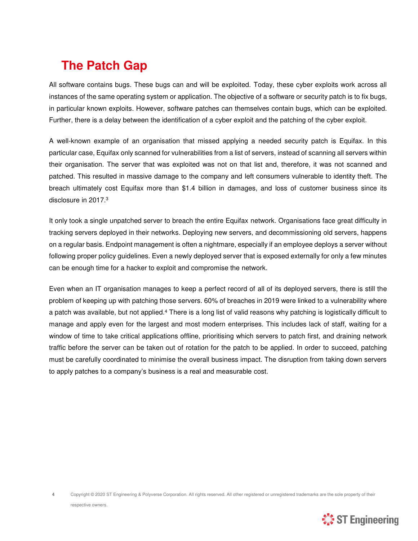# **The Patch Gap**

All software contains bugs. These bugs can and will be exploited. Today, these cyber exploits work across all instances of the same operating system or application. The objective of a software or security patch is to fix bugs, in particular known exploits. However, software patches can themselves contain bugs, which can be exploited. Further, there is a delay between the identification of a cyber exploit and the patching of the cyber exploit.

A well-known example of an organisation that missed applying a needed security patch is Equifax. In this particular case, Equifax only scanned for vulnerabilities from a list of servers, instead of scanning all servers within their organisation. The server that was exploited was not on that list and, therefore, it was not scanned and patched. This resulted in massive damage to the company and left consumers vulnerable to identity theft. The breach ultimately cost Equifax more than \$1.4 billion in damages, and loss of customer business since its disclosure in 2017.<sup>3</sup>

It only took a single unpatched server to breach the entire Equifax network. Organisations face great difficulty in tracking servers deployed in their networks. Deploying new servers, and decommissioning old servers, happens on a regular basis. Endpoint management is often a nightmare, especially if an employee deploys a server without following proper policy guidelines. Even a newly deployed server that is exposed externally for only a few minutes can be enough time for a hacker to exploit and compromise the network.

Even when an IT organisation manages to keep a perfect record of all of its deployed servers, there is still the problem of keeping up with patching those servers. 60% of breaches in 2019 were linked to a vulnerability where a patch was available, but not applied.<sup>4</sup> There is a long list of valid reasons why patching is logistically difficult to manage and apply even for the largest and most modern enterprises. This includes lack of staff, waiting for a window of time to take critical applications offline, prioritising which servers to patch first, and draining network traffic before the server can be taken out of rotation for the patch to be applied. In order to succeed, patching must be carefully coordinated to minimise the overall business impact. The disruption from taking down servers to apply patches to a company's business is a real and measurable cost.

**4** Copyright © 2020 ST Engineering & Polyverse Corporation. All rights reserved. All other registered or unregistered trademarks are the sole property of their respective owners.

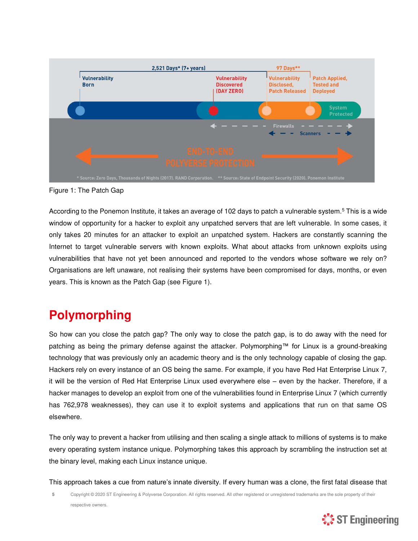

Figure 1: The Patch Gap

According to the Ponemon Institute, it takes an average of 102 days to patch a vulnerable system.<sup>5</sup> This is a wide window of opportunity for a hacker to exploit any unpatched servers that are left vulnerable. In some cases, it only takes 20 minutes for an attacker to exploit an unpatched system. Hackers are constantly scanning the Internet to target vulnerable servers with known exploits. What about attacks from unknown exploits using vulnerabilities that have not yet been announced and reported to the vendors whose software we rely on? Organisations are left unaware, not realising their systems have been compromised for days, months, or even years. This is known as the Patch Gap (see Figure 1).

### <span id="page-4-0"></span>**Polymorphing**

So how can you close the patch gap? The only way to close the patch gap, is to do away with the need for patching as being the primary defense against the attacker. Polymorphing™ for Linux is a ground-breaking technology that was previously only an academic theory and is the only technology capable of closing the gap. Hackers rely on every instance of an OS being the same. For example, if you have Red Hat Enterprise Linux 7, it will be the version of Red Hat Enterprise Linux used everywhere else – even by the hacker. Therefore, if a hacker manages to develop an exploit from one of the vulnerabilities found in Enterprise Linux 7 (which currently has 762,978 weaknesses), they can use it to exploit systems and applications that run on that same OS elsewhere.

The only way to prevent a hacker from utilising and then scaling a single attack to millions of systems is to make every operating system instance unique. Polymorphing takes this approach by scrambling the instruction set at the binary level, making each Linux instance unique.

This approach takes a cue from nature's innate diversity. If every human was a clone, the first fatal disease that

**5** Copyright © 2020 ST Engineering & Polyverse Corporation. All rights reserved. All other registered or unregistered trademarks are the sole property of their respective owners.

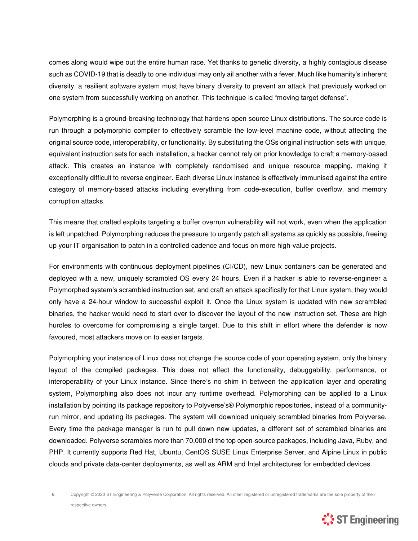comes along would wipe out the entire human race. Yet thanks to genetic diversity, a highly contagious disease such as COVID-19 that is deadly to one individual may only ail another with a fever. Much like humanity's inherent diversity, a resilient software system must have binary diversity to prevent an attack that previously worked on one system from successfully working on another. This technique is called "moving target defense".

Polymorphing is a ground-breaking technology that hardens open source Linux distributions. The source code is run through a polymorphic compiler to effectively scramble the low-level machine code, without affecting the original source code, interoperability, or functionality. By substituting the OSs original instruction sets with unique, equivalent instruction sets for each installation, a hacker cannot rely on prior knowledge to craft a memory-based attack. This creates an instance with completely randomised and unique resource mapping, making it exceptionally difficult to reverse engineer. Each diverse Linux instance is effectively immunised against the entire category of memory-based attacks including everything from code-execution, buffer overflow, and memory corruption attacks.

This means that crafted exploits targeting a buffer overrun vulnerability will not work, even when the application is left unpatched. Polymorphing reduces the pressure to urgently patch all systems as quickly as possible, freeing up your IT organisation to patch in a controlled cadence and focus on more high-value projects.

For environments with continuous deployment pipelines (CI/CD), new Linux containers can be generated and deployed with a new, uniquely scrambled OS every 24 hours. Even if a hacker is able to reverse-engineer a Polymorphed system's scrambled instruction set, and craft an attack specifically for that Linux system, they would only have a 24-hour window to successful exploit it. Once the Linux system is updated with new scrambled binaries, the hacker would need to start over to discover the layout of the new instruction set. These are high hurdles to overcome for compromising a single target. Due to this shift in effort where the defender is now favoured, most attackers move on to easier targets.

Polymorphing your instance of Linux does not change the source code of your operating system, only the binary layout of the compiled packages. This does not affect the functionality, debuggability, performance, or interoperability of your Linux instance. Since there's no shim in between the application layer and operating system, Polymorphing also does not incur any runtime overhead. Polymorphing can be applied to a Linux installation by pointing its package repository to Polyverse's® Polymorphic repositories, instead of a communityrun mirror, and updating its packages. The system will download uniquely scrambled binaries from Polyverse. Every time the package manager is run to pull down new updates, a different set of scrambled binaries are downloaded. Polyverse scrambles more than 70,000 of the top open-source packages, including Java, Ruby, and PHP. It currently supports Red Hat, Ubuntu, CentOS SUSE Linux Enterprise Server, and Alpine Linux in public clouds and private data-center deployments, as well as ARM and Intel architectures for embedded devices.

6 Copyright © 2020 ST Engineering & Polyverse Corporation. All rights reserved. All other registered or unregistered trademarks are the sole property of their respective owners.

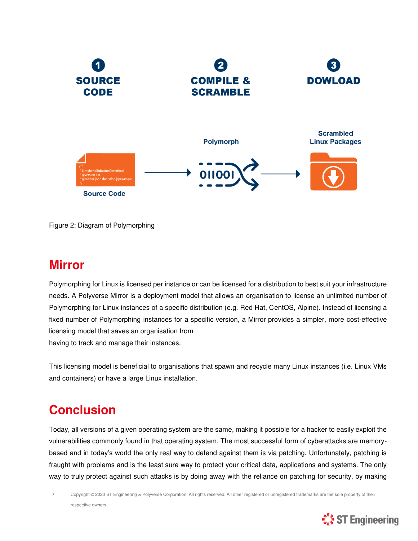

Figure 2: Diagram of Polymorphing

#### <span id="page-6-0"></span>**Mirror**

Polymorphing for Linux is licensed per instance or can be licensed for a distribution to best suit your infrastructure needs. A Polyverse Mirror is a deployment model that allows an organisation to license an unlimited number of Polymorphing for Linux instances of a specific distribution (e.g. Red Hat, CentOS, Alpine). Instead of licensing a fixed number of Polymorphing instances for a specific version, a Mirror provides a simpler, more cost-effective licensing model that saves an organisation from having to track and manage their instances.

This licensing model is beneficial to organisations that spawn and recycle many Linux instances (i.e. Linux VMs and containers) or have a large Linux installation.

## <span id="page-6-1"></span>**Conclusion**

Today, all versions of a given operating system are the same, making it possible for a hacker to easily exploit the vulnerabilities commonly found in that operating system. The most successful form of cyberattacks are memorybased and in today's world the only real way to defend against them is via patching. Unfortunately, patching is fraught with problems and is the least sure way to protect your critical data, applications and systems. The only way to truly protect against such attacks is by doing away with the reliance on patching for security, by making

**7** Copyright © 2020 ST Engineering & Polyverse Corporation. All rights reserved. All other registered or unregistered trademarks are the sole property of their respective owners.